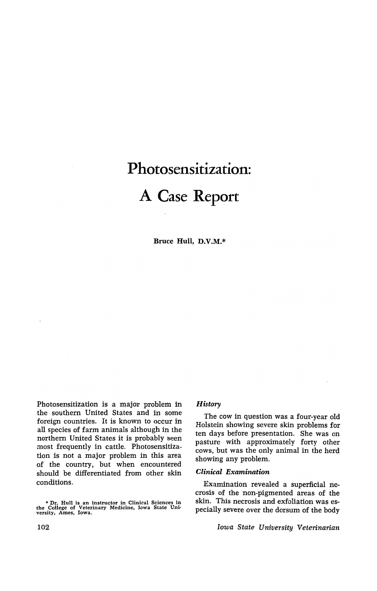# **Photosensitization: A Case Report**

Bruce Hull, D.V.M.\*

Photosensitization is a major problem in the southern United States and in some foreign countries. It is known to occur in all species of farm animals although in the northern United States it is probably seen most frequently in cattle. Photosensitization is not a major problem in this area of the country, but when encountered should be differentiated from other skin conditions.

• Dr. Hull is an instructor ~n Clinical Sciences in the College of Veterinary Medicine, Iowa State Unl· versity, Ames, Iowa.

# *History*

The cow in question was a four-year old Holstein showing severe skin problems for ten days before presentation. She was on pasture with approximately forty other cows, but was the only animal in the herd showing any problem.

#### *Clinical Examination*

Examination revealed a superficial necrosis of the non-pigmented areas of the skin. This necrosis and exfoliation was especially severe over the dorsum of the body

*Iowa State University Veterinarian*